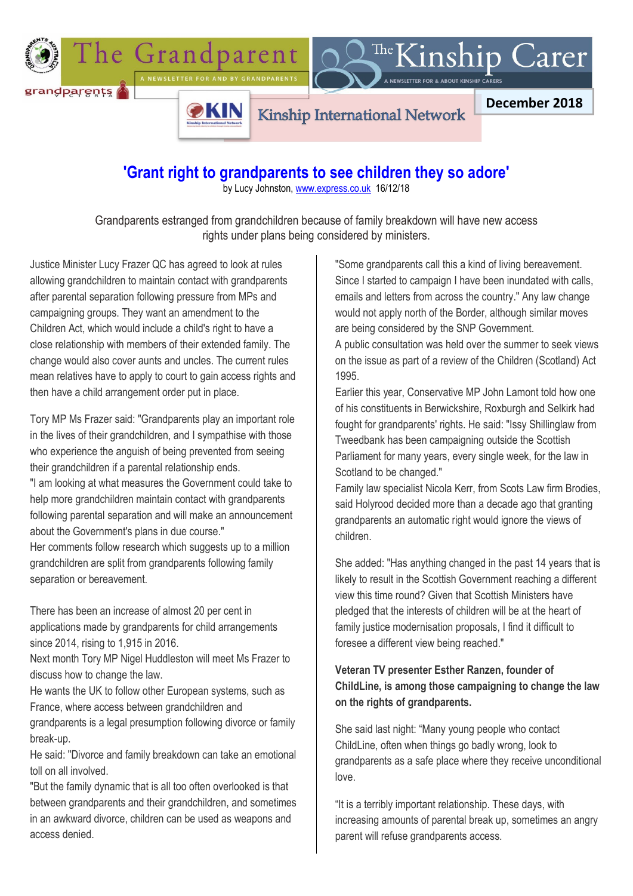

grandparents

he Grandparent A NEWSLETTER FOR AND BY GRANDPARENTS



Kinship International Network

**December 2018**

Carer

**'Grant right to grandparents to see children they so adore'**

by Lucy Johnston, [www.express.co.uk](http://www.express.co.uk/) 16/12/18

Grandparents estranged from grandchildren because of family breakdown will have new access rights under plans being considered by ministers.

Justice Minister Lucy Frazer QC has agreed to look at rules allowing grandchildren to maintain contact with grandparents after parental separation following pressure from MPs and campaigning groups. They want an amendment to the Children Act, which would include a child's right to have a close relationship with members of their extended family. The change would also cover aunts and uncles. The current rules mean relatives have to apply to court to gain access rights and then have a child arrangement order put in place.

Tory MP Ms Frazer said: "Grandparents play an important role in the lives of their grandchildren, and I sympathise with those who experience the anguish of being prevented from seeing their grandchildren if a parental relationship ends.

"I am looking at what measures the Government could take to help more grandchildren maintain contact with grandparents following parental separation and will make an announcement about the Government's plans in due course."

Her comments follow research which suggests up to a million grandchildren are split from grandparents following family separation or bereavement.

There has been an increase of almost 20 per cent in applications made by grandparents for child arrangements since 2014, rising to 1,915 in 2016.

Next month Tory MP Nigel Huddleston will meet Ms Frazer to discuss how to change the law.

He wants the UK to follow other European systems, such as France, where access between grandchildren and

grandparents is a legal presumption following divorce or family break-up.

He said: "Divorce and family breakdown can take an emotional toll on all involved.

"But the family dynamic that is all too often overlooked is that between grandparents and their grandchildren, and sometimes in an awkward divorce, children can be used as weapons and access denied.

"Some grandparents call this a kind of living bereavement. Since I started to campaign I have been inundated with calls, emails and letters from across the country." Any law change would not apply north of the Border, although similar moves are being considered by the SNP Government.

A public consultation was held over the summer to seek views on the issue as part of a review of the Children (Scotland) Act 1995.

Earlier this year, Conservative MP John Lamont told how one of his constituents in Berwickshire, Roxburgh and Selkirk had fought for grandparents' rights. He said: "Issy Shillinglaw from Tweedbank has been campaigning outside the Scottish Parliament for many years, every single week, for the law in Scotland to be changed."

Family law specialist Nicola Kerr, from Scots Law firm Brodies, said Holyrood decided more than a decade ago that granting grandparents an automatic right would ignore the views of children.

She added: "Has anything changed in the past 14 years that is likely to result in the Scottish Government reaching a different view this time round? Given that Scottish Ministers have pledged that the interests of children will be at the heart of family justice modernisation proposals, I find it difficult to foresee a different view being reached."

## **Veteran TV presenter Esther Ranzen, founder of ChildLine, is among those campaigning to change the law on the rights of grandparents.**

She said last night: "Many young people who contact ChildLine, often when things go badly wrong, look to grandparents as a safe place where they receive unconditional love.

"It is a terribly important relationship. These days, with increasing amounts of parental break up, sometimes an angry parent will refuse grandparents access.